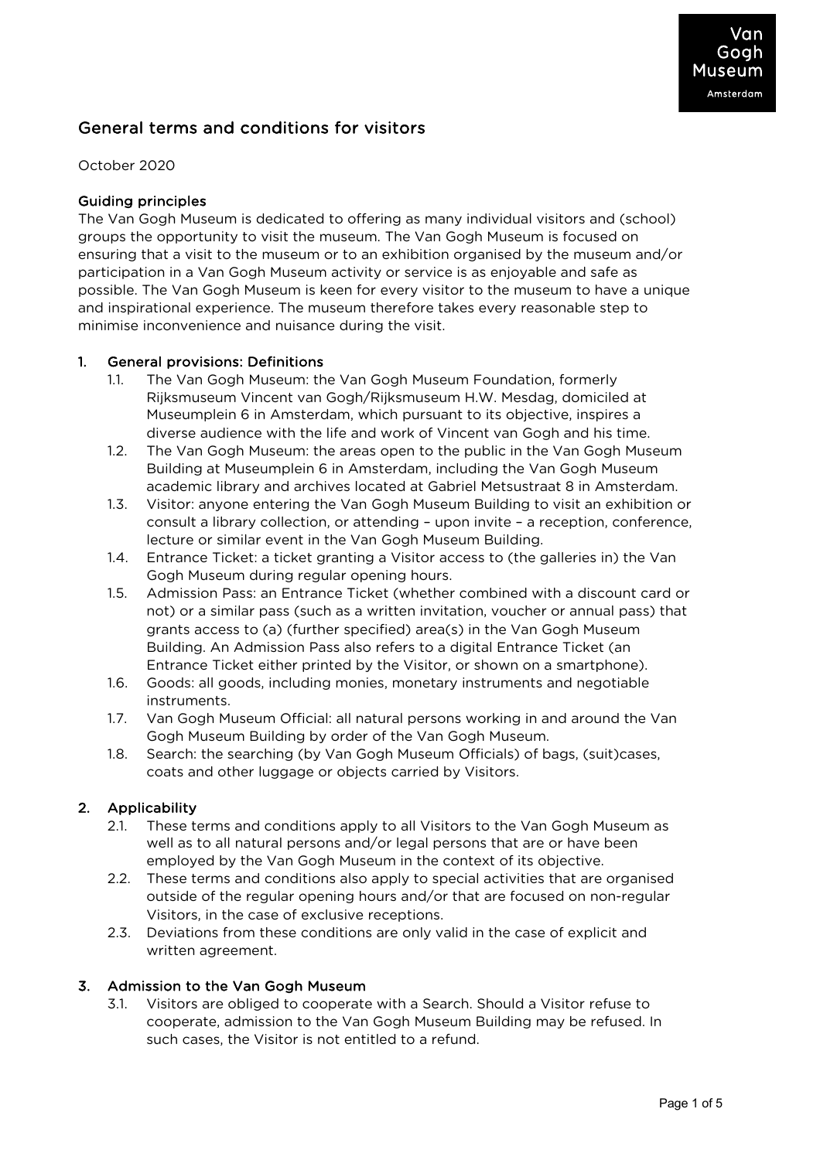# General terms and conditions for visitors

## October 2020

## Guiding principles

The Van Gogh Museum is dedicated to offering as many individual visitors and (school) groups the opportunity to visit the museum. The Van Gogh Museum is focused on ensuring that a visit to the museum or to an exhibition organised by the museum and/or participation in a Van Gogh Museum activity or service is as enjoyable and safe as possible. The Van Gogh Museum is keen for every visitor to the museum to have a unique and inspirational experience. The museum therefore takes every reasonable step to minimise inconvenience and nuisance during the visit.

## 1. General provisions: Definitions

- 1.1. The Van Gogh Museum: the Van Gogh Museum Foundation, formerly Rijksmuseum Vincent van Gogh/Rijksmuseum H.W. Mesdag, domiciled at Museumplein 6 in Amsterdam, which pursuant to its objective, inspires a diverse audience with the life and work of Vincent van Gogh and his time.
- 1.2. The Van Gogh Museum: the areas open to the public in the Van Gogh Museum Building at Museumplein 6 in Amsterdam, including the Van Gogh Museum academic library and archives located at Gabriel Metsustraat 8 in Amsterdam.
- 1.3. Visitor: anyone entering the Van Gogh Museum Building to visit an exhibition or consult a library collection, or attending – upon invite – a reception, conference, lecture or similar event in the Van Gogh Museum Building.
- 1.4. Entrance Ticket: a ticket granting a Visitor access to (the galleries in) the Van Gogh Museum during regular opening hours.
- 1.5. Admission Pass: an Entrance Ticket (whether combined with a discount card or not) or a similar pass (such as a written invitation, voucher or annual pass) that grants access to (a) (further specified) area(s) in the Van Gogh Museum Building. An Admission Pass also refers to a digital Entrance Ticket (an Entrance Ticket either printed by the Visitor, or shown on a smartphone).
- 1.6. Goods: all goods, including monies, monetary instruments and negotiable instruments.
- 1.7. Van Gogh Museum Official: all natural persons working in and around the Van Gogh Museum Building by order of the Van Gogh Museum.
- 1.8. Search: the searching (by Van Gogh Museum Officials) of bags, (suit)cases, coats and other luggage or objects carried by Visitors.

## 2. Applicability

- 2.1. These terms and conditions apply to all Visitors to the Van Gogh Museum as well as to all natural persons and/or legal persons that are or have been employed by the Van Gogh Museum in the context of its objective.
- 2.2. These terms and conditions also apply to special activities that are organised outside of the regular opening hours and/or that are focused on non-regular Visitors, in the case of exclusive receptions.
- 2.3. Deviations from these conditions are only valid in the case of explicit and written agreement.

## 3. Admission to the Van Gogh Museum

3.1. Visitors are obliged to cooperate with a Search. Should a Visitor refuse to cooperate, admission to the Van Gogh Museum Building may be refused. In such cases, the Visitor is not entitled to a refund.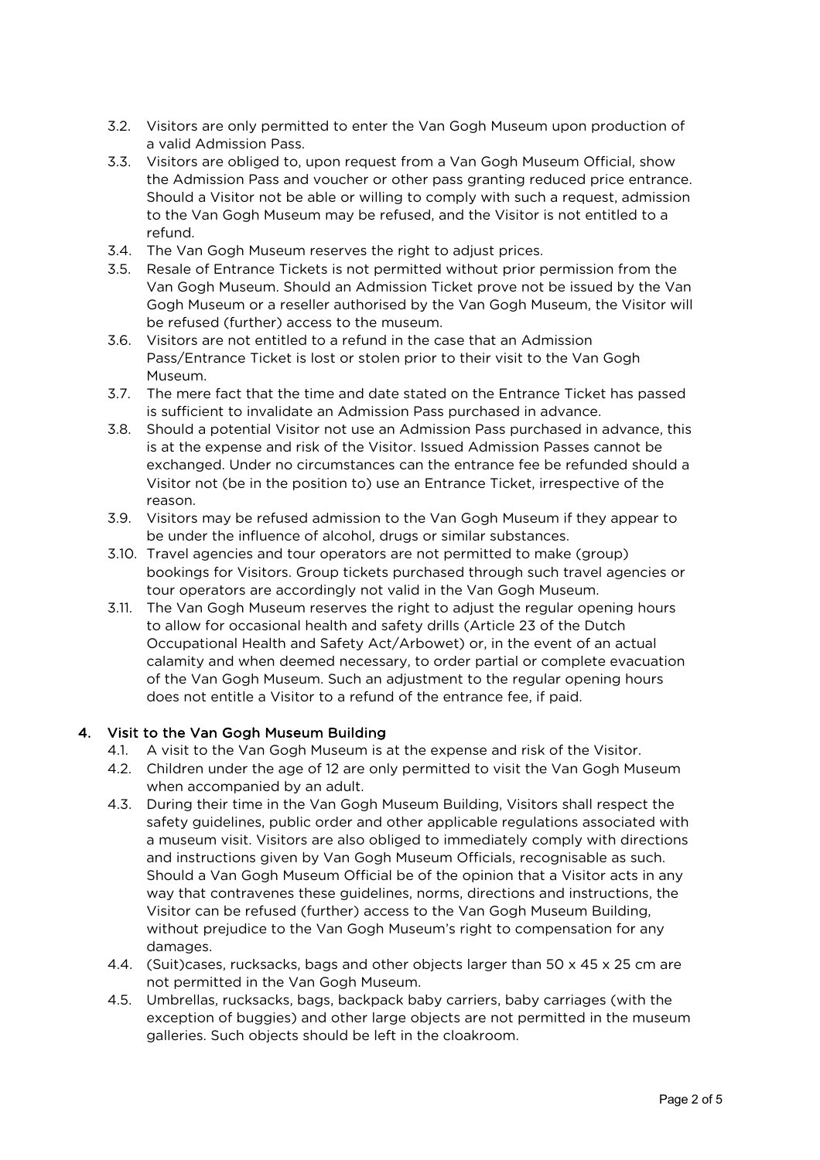- 3.2. Visitors are only permitted to enter the Van Gogh Museum upon production of a valid Admission Pass.
- 3.3. Visitors are obliged to, upon request from a Van Gogh Museum Official, show the Admission Pass and voucher or other pass granting reduced price entrance. Should a Visitor not be able or willing to comply with such a request, admission to the Van Gogh Museum may be refused, and the Visitor is not entitled to a refund.
- 3.4. The Van Gogh Museum reserves the right to adjust prices.
- 3.5. Resale of Entrance Tickets is not permitted without prior permission from the Van Gogh Museum. Should an Admission Ticket prove not be issued by the Van Gogh Museum or a reseller authorised by the Van Gogh Museum, the Visitor will be refused (further) access to the museum.
- 3.6. Visitors are not entitled to a refund in the case that an Admission Pass/Entrance Ticket is lost or stolen prior to their visit to the Van Gogh Museum.
- 3.7. The mere fact that the time and date stated on the Entrance Ticket has passed is sufficient to invalidate an Admission Pass purchased in advance.
- 3.8. Should a potential Visitor not use an Admission Pass purchased in advance, this is at the expense and risk of the Visitor. Issued Admission Passes cannot be exchanged. Under no circumstances can the entrance fee be refunded should a Visitor not (be in the position to) use an Entrance Ticket, irrespective of the reason.
- 3.9. Visitors may be refused admission to the Van Gogh Museum if they appear to be under the influence of alcohol, drugs or similar substances.
- 3.10. Travel agencies and tour operators are not permitted to make (group) bookings for Visitors. Group tickets purchased through such travel agencies or tour operators are accordingly not valid in the Van Gogh Museum.
- 3.11. The Van Gogh Museum reserves the right to adjust the regular opening hours to allow for occasional health and safety drills (Article 23 of the Dutch Occupational Health and Safety Act/Arbowet) or, in the event of an actual calamity and when deemed necessary, to order partial or complete evacuation of the Van Gogh Museum. Such an adjustment to the regular opening hours does not entitle a Visitor to a refund of the entrance fee, if paid.

## 4. Visit to the Van Gogh Museum Building

- 4.1. A visit to the Van Gogh Museum is at the expense and risk of the Visitor.
- 4.2. Children under the age of 12 are only permitted to visit the Van Gogh Museum when accompanied by an adult.
- 4.3. During their time in the Van Gogh Museum Building, Visitors shall respect the safety guidelines, public order and other applicable regulations associated with a museum visit. Visitors are also obliged to immediately comply with directions and instructions given by Van Gogh Museum Officials, recognisable as such. Should a Van Gogh Museum Official be of the opinion that a Visitor acts in any way that contravenes these guidelines, norms, directions and instructions, the Visitor can be refused (further) access to the Van Gogh Museum Building, without prejudice to the Van Gogh Museum's right to compensation for any damages.
- 4.4. (Suit)cases, rucksacks, bags and other objects larger than 50 x 45 x 25 cm are not permitted in the Van Gogh Museum.
- 4.5. Umbrellas, rucksacks, bags, backpack baby carriers, baby carriages (with the exception of buggies) and other large objects are not permitted in the museum galleries. Such objects should be left in the cloakroom.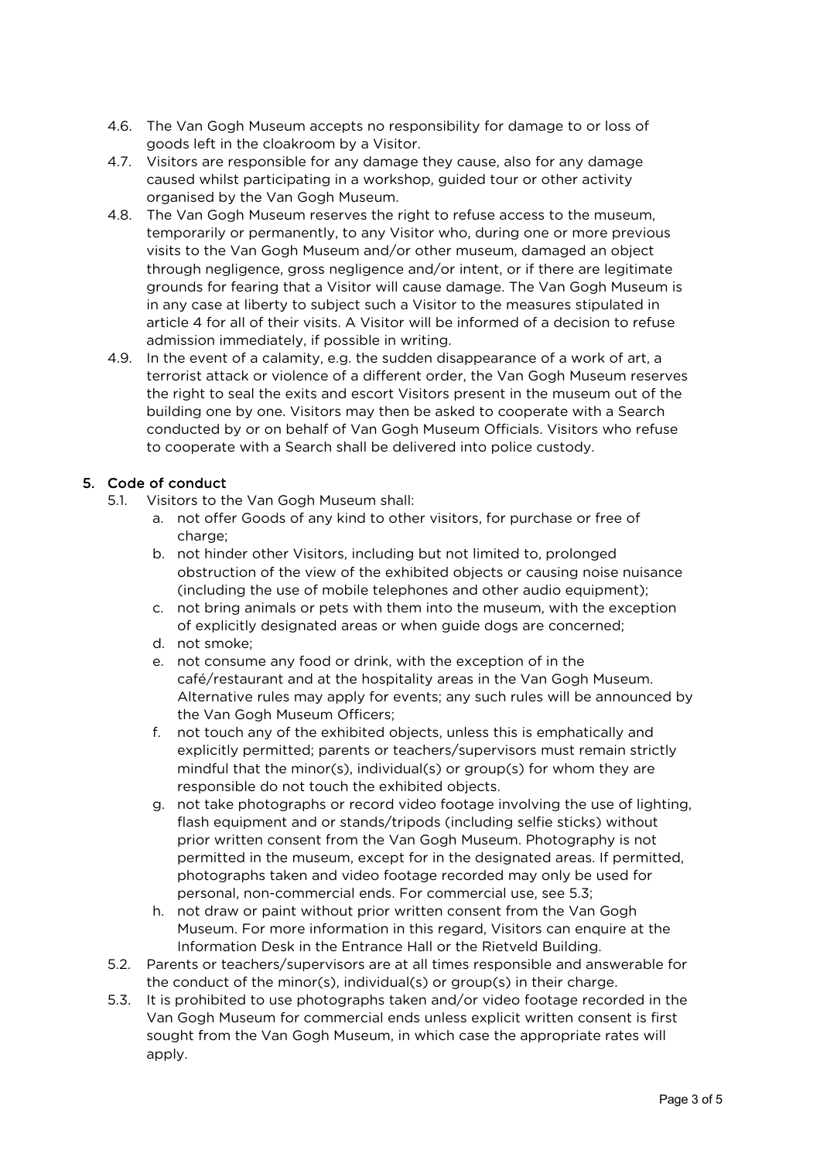- 4.6. The Van Gogh Museum accepts no responsibility for damage to or loss of goods left in the cloakroom by a Visitor.
- 4.7. Visitors are responsible for any damage they cause, also for any damage caused whilst participating in a workshop, guided tour or other activity organised by the Van Gogh Museum.
- 4.8. The Van Gogh Museum reserves the right to refuse access to the museum, temporarily or permanently, to any Visitor who, during one or more previous visits to the Van Gogh Museum and/or other museum, damaged an object through negligence, gross negligence and/or intent, or if there are legitimate grounds for fearing that a Visitor will cause damage. The Van Gogh Museum is in any case at liberty to subject such a Visitor to the measures stipulated in article 4 for all of their visits. A Visitor will be informed of a decision to refuse admission immediately, if possible in writing.
- 4.9. In the event of a calamity, e.g. the sudden disappearance of a work of art, a terrorist attack or violence of a different order, the Van Gogh Museum reserves the right to seal the exits and escort Visitors present in the museum out of the building one by one. Visitors may then be asked to cooperate with a Search conducted by or on behalf of Van Gogh Museum Officials. Visitors who refuse to cooperate with a Search shall be delivered into police custody.

# 5. Code of conduct

- 5.1. Visitors to the Van Gogh Museum shall:
	- a. not offer Goods of any kind to other visitors, for purchase or free of charge;
	- b. not hinder other Visitors, including but not limited to, prolonged obstruction of the view of the exhibited objects or causing noise nuisance (including the use of mobile telephones and other audio equipment);
	- c. not bring animals or pets with them into the museum, with the exception of explicitly designated areas or when guide dogs are concerned;
	- d. not smoke;
	- e. not consume any food or drink, with the exception of in the café/restaurant and at the hospitality areas in the Van Gogh Museum. Alternative rules may apply for events; any such rules will be announced by the Van Gogh Museum Officers;
	- f. not touch any of the exhibited objects, unless this is emphatically and explicitly permitted; parents or teachers/supervisors must remain strictly mindful that the minor(s), individual(s) or group(s) for whom they are responsible do not touch the exhibited objects.
	- g. not take photographs or record video footage involving the use of lighting, flash equipment and or stands/tripods (including selfie sticks) without prior written consent from the Van Gogh Museum. Photography is not permitted in the museum, except for in the designated areas. If permitted, photographs taken and video footage recorded may only be used for personal, non-commercial ends. For commercial use, see 5.3;
	- h. not draw or paint without prior written consent from the Van Gogh Museum. For more information in this regard, Visitors can enquire at the Information Desk in the Entrance Hall or the Rietveld Building.
- 5.2. Parents or teachers/supervisors are at all times responsible and answerable for the conduct of the minor(s), individual(s) or group(s) in their charge.
- 5.3. It is prohibited to use photographs taken and/or video footage recorded in the Van Gogh Museum for commercial ends unless explicit written consent is first sought from the Van Gogh Museum, in which case the appropriate rates will apply.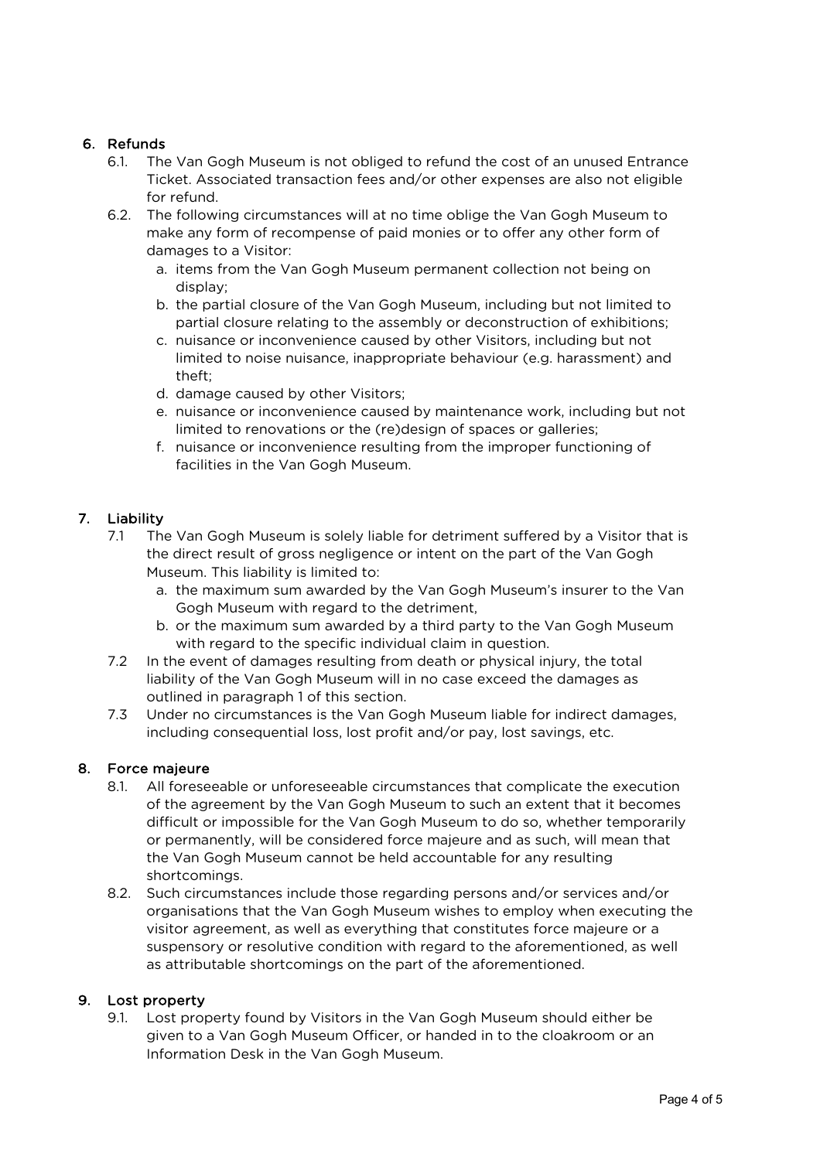## 6. Refunds

- 6.1. The Van Gogh Museum is not obliged to refund the cost of an unused Entrance Ticket. Associated transaction fees and/or other expenses are also not eligible for refund.
- 6.2. The following circumstances will at no time oblige the Van Gogh Museum to make any form of recompense of paid monies or to offer any other form of damages to a Visitor:
	- a. items from the Van Gogh Museum permanent collection not being on display;
	- b. the partial closure of the Van Gogh Museum, including but not limited to partial closure relating to the assembly or deconstruction of exhibitions;
	- c. nuisance or inconvenience caused by other Visitors, including but not limited to noise nuisance, inappropriate behaviour (e.g. harassment) and theft;
	- d. damage caused by other Visitors;
	- e. nuisance or inconvenience caused by maintenance work, including but not limited to renovations or the (re)design of spaces or galleries;
	- f. nuisance or inconvenience resulting from the improper functioning of facilities in the Van Gogh Museum.

# 7. Liability

- 7.1 The Van Gogh Museum is solely liable for detriment suffered by a Visitor that is the direct result of gross negligence or intent on the part of the Van Gogh Museum. This liability is limited to:
	- a. the maximum sum awarded by the Van Gogh Museum's insurer to the Van Gogh Museum with regard to the detriment,
	- b. or the maximum sum awarded by a third party to the Van Gogh Museum with regard to the specific individual claim in question.
- 7.2 In the event of damages resulting from death or physical injury, the total liability of the Van Gogh Museum will in no case exceed the damages as outlined in paragraph 1 of this section.
- 7.3 Under no circumstances is the Van Gogh Museum liable for indirect damages, including consequential loss, lost profit and/or pay, lost savings, etc.

## 8. Force majeure

- 8.1. All foreseeable or unforeseeable circumstances that complicate the execution of the agreement by the Van Gogh Museum to such an extent that it becomes difficult or impossible for the Van Gogh Museum to do so, whether temporarily or permanently, will be considered force majeure and as such, will mean that the Van Gogh Museum cannot be held accountable for any resulting shortcomings.
- 8.2. Such circumstances include those regarding persons and/or services and/or organisations that the Van Gogh Museum wishes to employ when executing the visitor agreement, as well as everything that constitutes force majeure or a suspensory or resolutive condition with regard to the aforementioned, as well as attributable shortcomings on the part of the aforementioned.

## 9. Lost property

9.1. Lost property found by Visitors in the Van Gogh Museum should either be given to a Van Gogh Museum Officer, or handed in to the cloakroom or an Information Desk in the Van Gogh Museum.